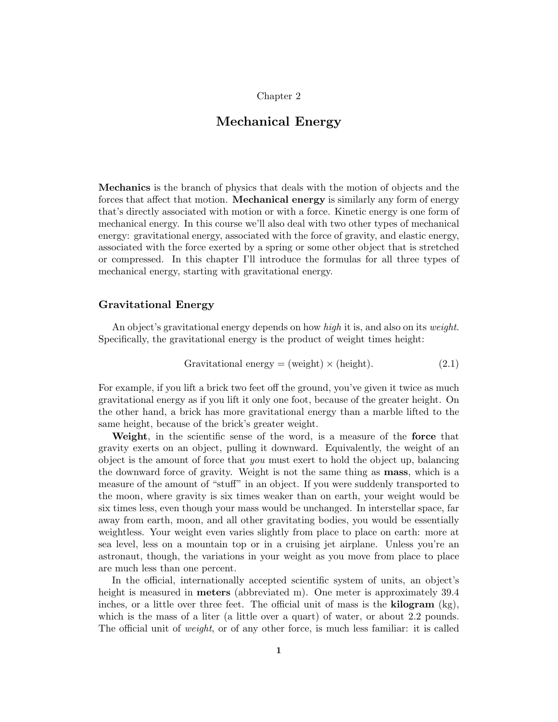# Chapter 2

# **Mechanical Energy**

**Mechanics** is the branch of physics that deals with the motion of objects and the forces that affect that motion. **Mechanical energy** is similarly any form of energy that's directly associated with motion or with a force. Kinetic energy is one form of mechanical energy. In this course we'll also deal with two other types of mechanical energy: gravitational energy, associated with the force of gravity, and elastic energy, associated with the force exerted by a spring or some other object that is stretched or compressed. In this chapter I'll introduce the formulas for all three types of mechanical energy, starting with gravitational energy.

### **Gravitational Energy**

An object's gravitational energy depends on how high it is, and also on its weight. Specifically, the gravitational energy is the product of weight times height:

Gravitational energy = (weight) × (height). 
$$
(2.1)
$$

For example, if you lift a brick two feet off the ground, you've given it twice as much gravitational energy as if you lift it only one foot,because of the greater height. On the other hand, a brick has more gravitational energy than a marble lifted to the same height, because of the brick's greater weight.

**Weight**, in the scientific sense of the word, is a measure of the **force** that gravity exerts on an object, pulling it downward. Equivalently, the weight of an object is the amount of force that *you* must exert to hold the object up, balancing the downward force of gravity. Weight is not the same thing as **mass**,which is a measure of the amount of "stuff" in an object. If you were suddenly transported to the moon, where gravity is six times weaker than on earth, your weight would be six times less, even though your mass would be unchanged. In interstellar space, far away from earth, moon, and all other gravitating bodies, you would be essentially weightless. Your weight even varies slightly from place to place on earth: more at sea level, less on a mountain top or in a cruising jet airplane. Unless you're an astronaut, though, the variations in your weight as you move from place to place are much less than one percent.

In the official, internationally accepted scientific system of units, an object's height is measured in **meters** (abbreviated m). One meter is approximately 39.4 inches, or a little over three feet. The official unit of mass is the **kilogram**  $(kg)$ , which is the mass of a liter (a little over a quart) of water, or about  $2.2$  pounds. The official unit of *weight*, or of any other force, is much less familiar: it is called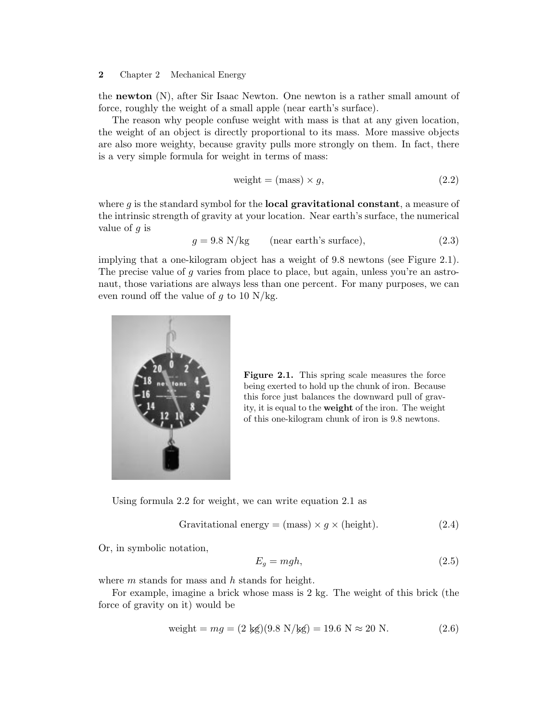### **2** Chapter 2 Mechanical Energy

the **newton** (N), after Sir Isaac Newton. One newton is a rather small amount of force, roughly the weight of a small apple (near earth's surface).

The reason why people confuse weight with mass is that at any given location, the weight of an object is directly proportional to its mass. More massive objects are also more weighty, because gravity pulls more strongly on them. In fact, there is a very simple formula for weight in terms of mass:

$$
weight = (mass) \times g,
$$
\n(2.2)

where  $g$  is the standard symbol for the **local gravitational constant**, a measure of the intrinsic strength of gravity at your location. Near earth's surface, the numerical value of *g* is

$$
g = 9.8 \text{ N/kg} \qquad \text{(near earth's surface)}, \tag{2.3}
$$

implying that a one-kilogram object has a weight of 9.8 newtons (see Figure 2.1). The precise value of *g* varies from place to place, but again, unless you're an astronaut, those variations are always less than one percent. For many purposes, we can even round off the value of *g* to 10 N/kg.



**Figure 2.1.** This spring scale measures the force being exerted to hold up the chunk of iron. Because this force just balances the downward pull of gravity, it is equal to the **weight** of the iron. The weight of this one-kilogram chunk of iron is 9.8 newtons.

Using formula  $2.2$  for weight, we can write equation  $2.1$  as

Gravitational energy = (mass) 
$$
\times
$$
 g  $\times$  (height). (2.4)

Or, in symbolic notation,

$$
E_g = mgh,\t\t(2.5)
$$

where *m* stands for mass and *h* stands for height.

For example, imagine a brick whose mass is  $2 \text{ kg}$ . The weight of this brick (the force of gravity on it) would be

$$
weight = mg = (2 \text{ kg})(9.8 \text{ N/kg}) = 19.6 \text{ N} \approx 20 \text{ N}.
$$
 (2.6)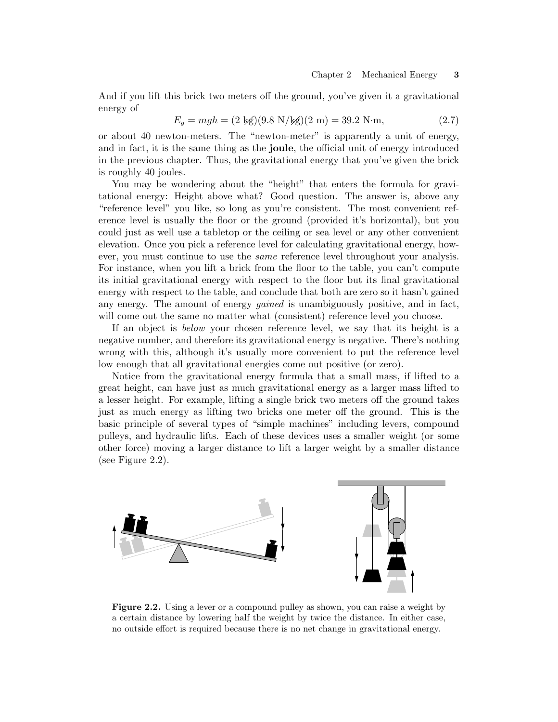And if you lift this brick two meters off the ground, you've given it a gravitational energy of

$$
E_g = mgh = (2 \text{ kg})(9.8 \text{ N/kg})(2 \text{ m}) = 39.2 \text{ N} \cdot \text{m},\tag{2.7}
$$

or about 40 newton-meters. The "newton-meter" is apparently a unit of energy, and in fact, it is the same thing as the **joule**, the official unit of energy introduced in the previous chapter. Thus, the gravitational energy that you've given the brick is roughly 40 joules.

You may be wondering about the "height" that enters the formula for gravitational energy: Height above what? Good question. The answer is, above any "reference level" you like, so long as you're consistent. The most convenient reference level is usually the floor or the ground (provided it's horizontal), but you could just as well use a tabletop or the ceiling or sea level or any other convenient elevation. Once you pick a reference level for calculating gravitational energy, however, you must continue to use the *same* reference level throughout your analysis. For instance, when you lift a brick from the floor to the table, you can't compute its initial gravitational energy with respect to the floor but its final gravitational energy with respect to the table, and conclude that both are zero so it hasn't gained any energy. The amount of energy *gained* is unambiguously positive, and in fact, will come out the same no matter what (consistent) reference level you choose.

If an object is *below* your chosen reference level, we say that its height is a negative number, and therefore its gravitational energy is negative. There's nothing wrong with this, although it's usually more convenient to put the reference level low enough that all gravitational energies come out positive (or zero).

Notice from the gravitational energy formula that a small mass, if lifted to a great height, can have just as much gravitational energy as a larger mass lifted to a lesser height. For example, lifting a single brick two meters off the ground takes just as much energy as lifting two bricks one meter off the ground. This is the basic principle of several types of "simple machines" including levers,compound pulleys,and hydraulic lifts. Each of these devices uses a smaller weight (or some other force) moving a larger distance to lift a larger weight by a smaller distance (see Figure 2.2).



**Figure 2.2.** Using a lever or a compound pulley as shown, you can raise a weight by a certain distance by lowering half the weight by twice the distance. In either case, no outside effort is required because there is no net change in gravitational energy.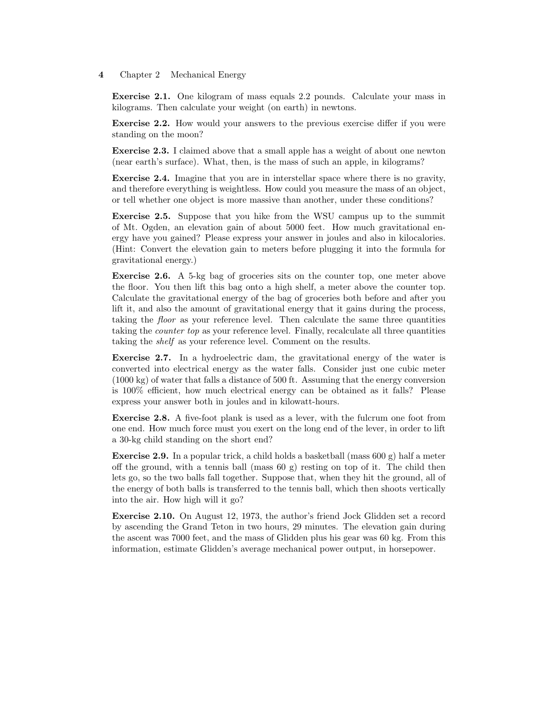#### **4** Chapter 2 Mechanical Energy

**Exercise 2.1.** One kilogram of mass equals 2.2 pounds. Calculate your mass in kilograms. Then calculate your weight (on earth) in newtons.

**Exercise 2.2.** How would your answers to the previous exercise differ if you were standing on the moon?

**Exercise 2.3.** I claimed above that a small apple has a weight of about one newton (near earth's surface). What, then, is the mass of such an apple, in kilograms?

**Exercise 2.4.** Imagine that you are in interstellar space where there is no gravity, and therefore everything is weightless. How could you measure the mass of an object, or tell whether one object is more massive than another, under these conditions?

**Exercise 2.5.** Suppose that you hike from the WSU campus up to the summit of Mt. Ogden,an elevation gain of about 5000 feet. How much gravitational energy have you gained? Please express your answer in joules and also in kilocalories. (Hint: Convert the elevation gain to meters before plugging it into the formula for gravitational energy.)

**Exercise 2.6.** A 5-kg bag of groceries sits on the counter top, one meter above the floor. You then lift this bag onto a high shelf, a meter above the counter top. Calculate the gravitational energy of the bag of groceries both before and after you lift it, and also the amount of gravitational energy that it gains during the process, taking the floor as your reference level. Then calculate the same three quantities taking the *counter top* as your reference level. Finally, recalculate all three quantities taking the shelf as your reference level. Comment on the results.

**Exercise 2.7.** In a hydroelectric dam, the gravitational energy of the water is converted into electrical energy as the water falls. Consider just one cubic meter (1000 kg) of water that falls a distance of 500 ft. Assuming that the energy conversion is 100% efficient, how much electrical energy can be obtained as it falls? Please express your answer both in joules and in kilowatt-hours.

**Exercise 2.8.** A five-foot plank is used as a lever, with the fulcrum one foot from one end. How much force must you exert on the long end of the lever,in order to lift a 30-kg child standing on the short end?

**Exercise 2.9.** In a popular trick, a child holds a basketball (mass  $600 \text{ g}$ ) half a meter off the ground, with a tennis ball (mass  $60 \text{ g}$ ) resting on top of it. The child then lets go, so the two balls fall together. Suppose that, when they hit the ground, all of the energy of both balls is transferred to the tennis ball, which then shoots vertically into the air. How high will it go?

**Exercise 2.10.** On August 12, 1973, the author's friend Jock Glidden set a record by ascending the Grand Teton in two hours,29 minutes. The elevation gain during the ascent was 7000 feet, and the mass of Glidden plus his gear was 60 kg. From this information, estimate Glidden's average mechanical power output, in horsepower.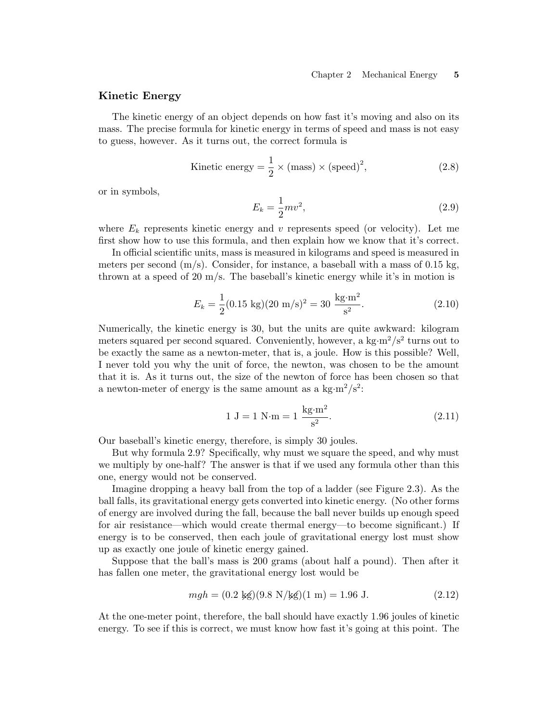# **Kinetic Energy**

The kinetic energy of an object depends on how fast it's moving and also on its mass. The precise formula for kinetic energy in terms of speed and mass is not easy to guess, however. As it turns out, the correct formula is

Kinetic energy = 
$$
\frac{1}{2}
$$
 × (mass) × (speed)<sup>2</sup>, (2.8)

or in symbols,

$$
E_k = \frac{1}{2}mv^2,
$$
\n(2.9)

where  $E_k$  represents kinetic energy and  $v$  represents speed (or velocity). Let me first show how to use this formula,and then explain how we know that it's correct.

In official scientific units, mass is measured in kilograms and speed is measured in meters per second  $(m/s)$ . Consider, for instance, a baseball with a mass of 0.15 kg, thrown at a speed of 20  $\text{m/s}$ . The baseball's kinetic energy while it's in motion is

$$
E_k = \frac{1}{2}(0.15 \text{ kg})(20 \text{ m/s})^2 = 30 \frac{\text{kg} \cdot \text{m}^2}{\text{s}^2}.
$$
 (2.10)

Numerically, the kinetic energy is 30, but the units are quite awkward: kilogram meters squared per second squared. Conveniently, however, a kg·m<sup>2</sup>/s<sup>2</sup> turns out to be exactly the same as a newton-meter, that is, a joule. How is this possible? Well, I never told you why the unit of force, the newton, was chosen to be the amount that it is. As it turns out, the size of the newton of force has been chosen so that a newton-meter of energy is the same amount as a  $\text{kg}\cdot\text{m}^2/\text{s}^2$ :

$$
1 J = 1 N \cdot m = 1 \frac{\text{kg} \cdot \text{m}^2}{\text{s}^2}.
$$
 (2.11)

Our baseball's kinetic energy, therefore, is simply 30 joules.

But why formula 2.9? Specifically, why must we square the speed, and why must we multiply by one-half? The answer is that if we used any formula other than this one, energy would not be conserved.

Imagine dropping a heavy ball from the top of a ladder (see Figure 2.3). As the ball falls, its gravitational energy gets converted into kinetic energy. (No other forms of energy are involved during the fall,because the ball never builds up enough speed for air resistance—which would create thermal energy—to become significant.) If energy is to be conserved, then each joule of gravitational energy lost must show up as exactly one joule of kinetic energy gained.

Suppose that the ball's mass is 200 grams (about half a pound). Then after it has fallen one meter, the gravitational energy lost would be

$$
mgh = (0.2 \text{ kg})(9.8 \text{ N/kg})(1 \text{ m}) = 1.96 \text{ J}.
$$
 (2.12)

At the one-meter point, therefore, the ball should have exactly  $1.96$  joules of kinetic energy. To see if this is correct, we must know how fast it's going at this point. The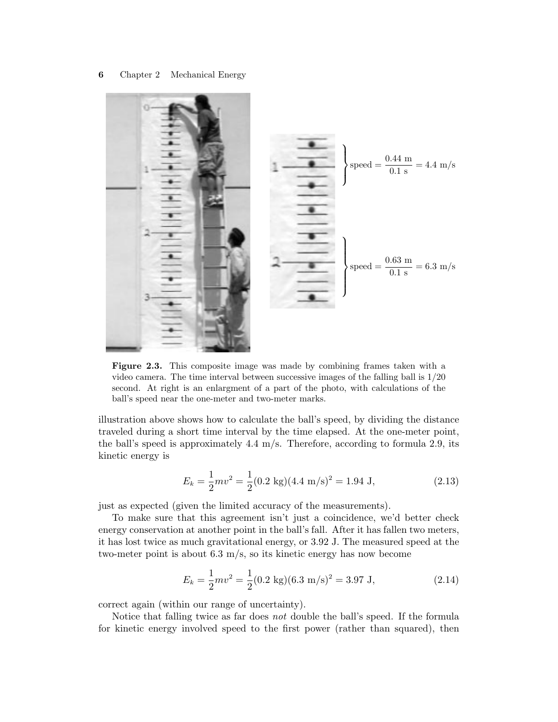

Figure 2.3. This composite image was made by combining frames taken with a video camera. The time interval between successive images of the falling ball is 1/20 second. At right is an enlargment of a part of the photo, with calculations of the ball's speed near the one-meter and two-meter marks.

illustration above shows how to calculate the ball's speed, by dividing the distance traveled during a short time interval by the time elapsed. At the one-meter point, the ball's speed is approximately  $4.4 \text{ m/s}$ . Therefore, according to formula 2.9, its kinetic energy is

$$
E_k = \frac{1}{2}mv^2 = \frac{1}{2}(0.2 \text{ kg})(4.4 \text{ m/s})^2 = 1.94 \text{ J},\tag{2.13}
$$

just as expected (given the limited accuracy of the measurements).

To make sure that this agreement isn't just a coincidence, we'd better check energy conservation at another point in the ball's fall. After it has fallen two meters, it has lost twice as much gravitational energy, or 3.92 J. The measured speed at the two-meter point is about  $6.3 \text{ m/s}$ , so its kinetic energy has now become

$$
E_k = \frac{1}{2}mv^2 = \frac{1}{2}(0.2 \text{ kg})(6.3 \text{ m/s})^2 = 3.97 \text{ J},\tag{2.14}
$$

correct again (within our range of uncertainty).

Notice that falling twice as far does not double the ball's speed. If the formula for kinetic energy involved speed to the first power (rather than squared), then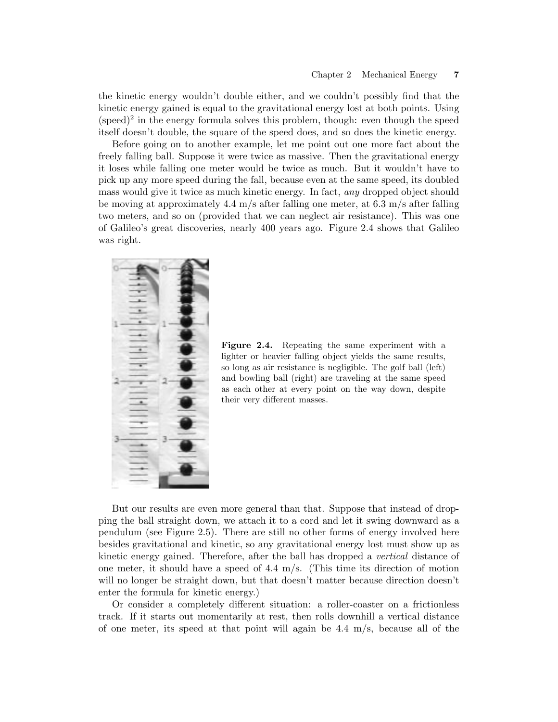the kinetic energy wouldn't double either, and we couldn't possibly find that the kinetic energy gained is equal to the gravitational energy lost at both points. Using  $(\text{speed})^2$  in the energy formula solves this problem, though: even though the speed itself doesn't double, the square of the speed does, and so does the kinetic energy.

Before going on to another example, let me point out one more fact about the freely falling ball. Suppose it were twice as massive. Then the gravitational energy it loses while falling one meter would be twice as much. But it wouldn't have to pick up any more speed during the fall, because even at the same speed, its doubled mass would give it twice as much kinetic energy. In fact, any dropped object should be moving at approximately 4.4 m/s after falling one meter, at 6.3 m/s after falling two meters, and so on (provided that we can neglect air resistance). This was one of Galileo's great discoveries, nearly 400 years ago. Figure 2.4 shows that Galileo was right.



**Figure 2.4.** Repeating the same experiment with a lighter or heavier falling object yields the same results, so long as air resistance is negligible. The golf ball (left) and bowling ball (right) are traveling at the same speed as each other at every point on the way down, despite their very different masses.

But our results are even more general than that. Suppose that instead of dropping the ball straight down,we attach it to a cord and let it swing downward as a pendulum (see Figure 2.5). There are still no other forms of energy involved here besides gravitational and kinetic, so any gravitational energy lost must show up as kinetic energy gained. Therefore, after the ball has dropped a *vertical* distance of one meter, it should have a speed of  $4.4 \text{ m/s}$ . (This time its direction of motion will no longer be straight down, but that doesn't matter because direction doesn't enter the formula for kinetic energy.)

Or consider a completely different situation: a roller-coaster on a frictionless track. If it starts out momentarily at rest, then rolls downhill a vertical distance of one meter, its speed at that point will again be  $4.4 \text{ m/s}$ , because all of the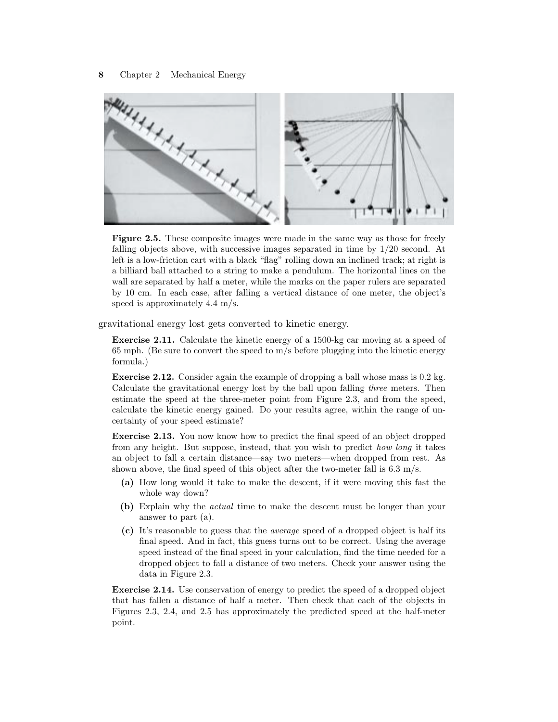

**Figure 2.5.** These composite images were made in the same way as those for freely falling objects above, with successive images separated in time by  $1/20$  second. At left is a low-friction cart with a black "flag" rolling down an inclined track; at right is a billiard ball attached to a string to make a pendulum. The horizontal lines on the wall are separated by half a meter, while the marks on the paper rulers are separated by 10 cm. In each case, after falling a vertical distance of one meter, the object's speed is approximately 4.4 m/s.

gravitational energy lost gets converted to kinetic energy.

**Exercise 2.11.** Calculate the kinetic energy of a 1500-kg car moving at a speed of 65 mph. (Be sure to convert the speed to m/s before plugging into the kinetic energy formula.)

**Exercise 2.12.** Consider again the example of dropping a ball whose mass is 0.2 kg. Calculate the gravitational energy lost by the ball upon falling three meters. Then estimate the speed at the three-meter point from Figure 2.3, and from the speed, calculate the kinetic energy gained. Do your results agree,within the range of uncertainty of your speed estimate?

**Exercise 2.13.** You now know how to predict the final speed of an object dropped from any height. But suppose, instead, that you wish to predict *how long* it takes an object to fall a certain distance—say two meters—when dropped from rest. As shown above, the final speed of this object after the two-meter fall is  $6.3 \text{ m/s}$ .

- **(a)** How long would it take to make the descent,if it were moving this fast the whole way down?
- **(b)** Explain why the actual time to make the descent must be longer than your answer to part (a).
- **(c)** It's reasonable to guess that the average speed of a dropped object is half its final speed. And in fact, this guess turns out to be correct. Using the average speed instead of the final speed in your calculation, find the time needed for a dropped object to fall a distance of two meters. Check your answer using the data in Figure 2.3.

**Exercise 2.14.** Use conservation of energy to predict the speed of a dropped object that has fallen a distance of half a meter. Then check that each of the objects in Figures 2.3,2.4,and 2.5 has approximately the predicted speed at the half-meter point.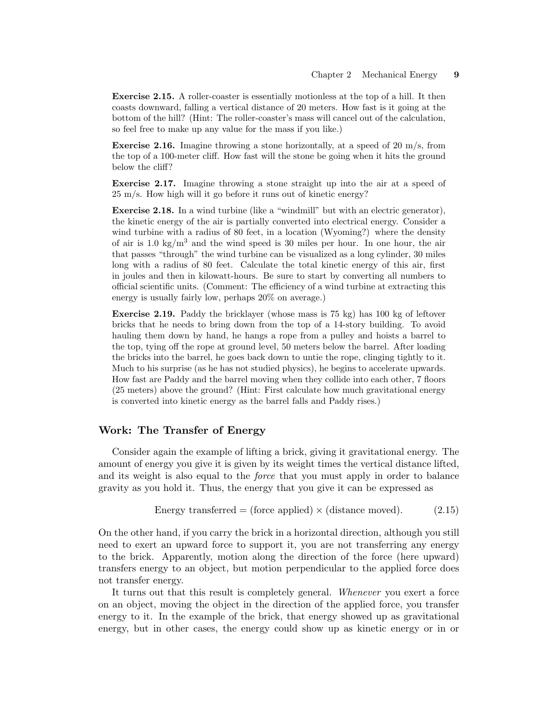**Exercise 2.15.** A roller-coaster is essentially motionless at the top of a hill. It then coasts downward,falling a vertical distance of 20 meters. How fast is it going at the bottom of the hill? (Hint: The roller-coaster's mass will cancel out of the calculation, so feel free to make up any value for the mass if you like.)

**Exercise 2.16.** Imagine throwing a stone horizontally, at a speed of 20 m/s, from the top of a 100-meter cliff. How fast will the stone be going when it hits the ground below the cliff?

**Exercise 2.17.** Imagine throwing a stone straight up into the air at a speed of 25 m/s. How high will it go before it runs out of kinetic energy?

**Exercise 2.18.** In a wind turbine (like a "windmill" but with an electric generator), the kinetic energy of the air is partially converted into electrical energy. Consider a wind turbine with a radius of 80 feet, in a location (Wyoming?) where the density of air is 1.0 kg/m<sup>3</sup> and the wind speed is 30 miles per hour. In one hour, the air that passes "through" the wind turbine can be visualized as a long cylinder,30 miles long with a radius of 80 feet. Calculate the total kinetic energy of this air, first in joules and then in kilowatt-hours. Be sure to start by converting all numbers to official scientific units. (Comment: The efficiency of a wind turbine at extracting this energy is usually fairly low, perhaps  $20\%$  on average.)

**Exercise 2.19.** Paddy the bricklayer (whose mass is 75 kg) has 100 kg of leftover bricks that he needs to bring down from the top of a 14-story building. To avoid hauling them down by hand, he hangs a rope from a pulley and hoists a barrel to the top, tying off the rope at ground level, 50 meters below the barrel. After loading the bricks into the barrel, he goes back down to untie the rope, clinging tightly to it. Much to his surprise (as he has not studied physics), he begins to accelerate upwards. How fast are Paddy and the barrel moving when they collide into each other,7 floors (25 meters) above the ground? (Hint: First calculate how much gravitational energy is converted into kinetic energy as the barrel falls and Paddy rises.)

# **Work: The Transfer of Energy**

Consider again the example of lifting a brick, giving it gravitational energy. The amount of energy you give it is given by its weight times the vertical distance lifted, and its weight is also equal to the force that you must apply in order to balance gravity as you hold it. Thus, the energy that you give it can be expressed as

Energy transferred = (force applied) 
$$
\times
$$
 (distance moved). (2.15)

On the other hand, if you carry the brick in a horizontal direction, although you still need to exert an upward force to support it, you are not transferring any energy to the brick. Apparently, motion along the direction of the force (here upward) transfers energy to an object, but motion perpendicular to the applied force does not transfer energy.

It turns out that this result is completely general. Whenever you exert a force on an object, moving the object in the direction of the applied force, you transfer energy to it. In the example of the brick, that energy showed up as gravitational energy, but in other cases, the energy could show up as kinetic energy or in or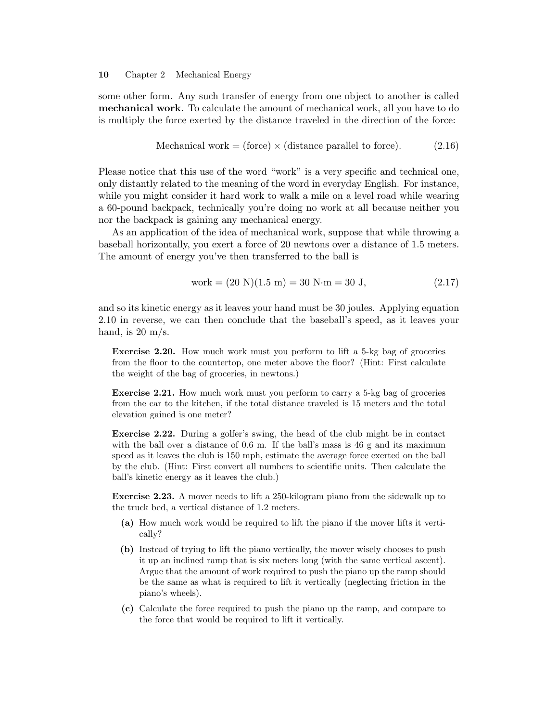some other form. Any such transfer of energy from one object to another is called **mechanical work**. To calculate the amount of mechanical work, all you have to do is multiply the force exerted by the distance traveled in the direction of the force:

Mechanical work = (force) 
$$
\times
$$
 (distance parallel to force). (2.16)

Please notice that this use of the word "work" is a very specific and technical one, only distantly related to the meaning of the word in everyday English. For instance, while you might consider it hard work to walk a mile on a level road while wearing a 60-pound backpack, technically you're doing no work at all because neither you nor the backpack is gaining any mechanical energy.

As an application of the idea of mechanical work, suppose that while throwing a baseball horizontally,you exert a force of 20 newtons over a distance of 1.5 meters. The amount of energy you've then transferred to the ball is

work = 
$$
(20 \text{ N})(1.5 \text{ m}) = 30 \text{ N} \cdot \text{m} = 30 \text{ J},
$$
  $(2.17)$ 

and so its kinetic energy as it leaves your hand must be 30 joules. Applying equation 2.10 in reverse, we can then conclude that the baseball's speed, as it leaves your hand, is  $20 \text{ m/s}$ .

**Exercise 2.20.** How much work must you perform to lift a 5-kg bag of groceries from the floor to the countertop, one meter above the floor? (Hint: First calculate the weight of the bag of groceries, in newtons.)

**Exercise 2.21.** How much work must you perform to carry a 5-kg bag of groceries from the car to the kitchen, if the total distance traveled is 15 meters and the total elevation gained is one meter?

**Exercise 2.22.** During a golfer's swing, the head of the club might be in contact with the ball over a distance of 0.6 m. If the ball's mass is 46 g and its maximum speed as it leaves the club is 150 mph, estimate the average force exerted on the ball by the club. (Hint: First convert all numbers to scientific units. Then calculate the ball's kinetic energy as it leaves the club.)

**Exercise 2.23.** A mover needs to lift a 250-kilogram piano from the sidewalk up to the truck bed, a vertical distance of 1.2 meters.

- **(a)** How much work would be required to lift the piano if the mover lifts it vertically?
- (b) Instead of trying to lift the piano vertically, the mover wisely chooses to push it up an inclined ramp that is six meters long (with the same vertical ascent). Argue that the amount of work required to push the piano up the ramp should be the same as what is required to lift it vertically (neglecting friction in the piano's wheels).
- **(c)** Calculate the force required to push the piano up the ramp,and compare to the force that would be required to lift it vertically.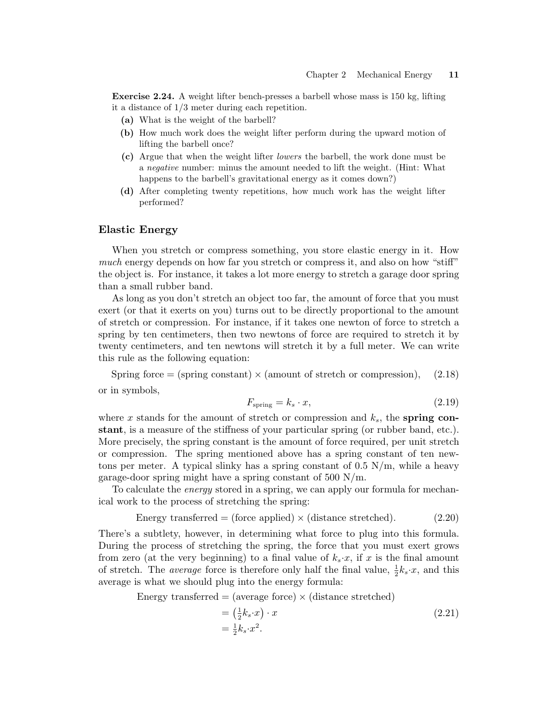**Exercise 2.24.** A weight lifter bench-presses a barbell whose mass is 150 kg, lifting it a distance of 1/3 meter during each repetition.

- **(a)** What is the weight of the barbell?
- **(b)** How much work does the weight lifter perform during the upward motion of lifting the barbell once?
- **(c)** Argue that when the weight lifter *lowers* the barbell, the work done must be a negative number: minus the amount needed to lift the weight. (Hint: What happens to the barbell's gravitational energy as it comes down?)
- (d) After completing twenty repetitions, how much work has the weight lifter performed?

## **Elastic Energy**

When you stretch or compress something, you store elastic energy in it. How much energy depends on how far you stretch or compress it, and also on how "stiff" the object is. For instance,it takes a lot more energy to stretch a garage door spring than a small rubber band.

As long as you don't stretch an object too far, the amount of force that you must exert (or that it exerts on you) turns out to be directly proportional to the amount of stretch or compression. For instance,if it takes one newton of force to stretch a spring by ten centimeters, then two newtons of force are required to stretch it by twenty centimeters, and ten newtons will stretch it by a full meter. We can write this rule as the following equation:

Spring force  $=$  (spring constant)  $\times$  (amount of stretch or compression), (2.18) or in symbols,

$$
F_{\text{spring}} = k_s \cdot x,\tag{2.19}
$$

where x stands for the amount of stretch or compression and  $k_s$ , the **spring constant**, is a measure of the stiffness of your particular spring (or rubber band, etc.). More precisely, the spring constant is the amount of force required, per unit stretch or compression. The spring mentioned above has a spring constant of ten newtons per meter. A typical slinky has a spring constant of  $0.5 \text{ N/m}$ , while a heavy garage-door spring might have a spring constant of  $500 \text{ N/m}$ .

To calculate the *energy* stored in a spring, we can apply our formula for mechanical work to the process of stretching the spring:

Energy transferred = (force applied) 
$$
\times
$$
 (distance stretched). (2.20)

There's a subtlety, however, in determining what force to plug into this formula. During the process of stretching the spring, the force that you must exert grows from zero (at the very beginning) to a final value of  $k_s \cdot x$ , if *x* is the final amount of stretch. The *average* force is therefore only half the final value,  $\frac{1}{2}k_s \cdot x$ , and this average is what we should plug into the energy formula:

Energy transferred  $=$  (average force)  $\times$  (distance stretched)

$$
= \left(\frac{1}{2}k_s \cdot x\right) \cdot x
$$
  

$$
= \frac{1}{2}k_s \cdot x^2.
$$
 (2.21)